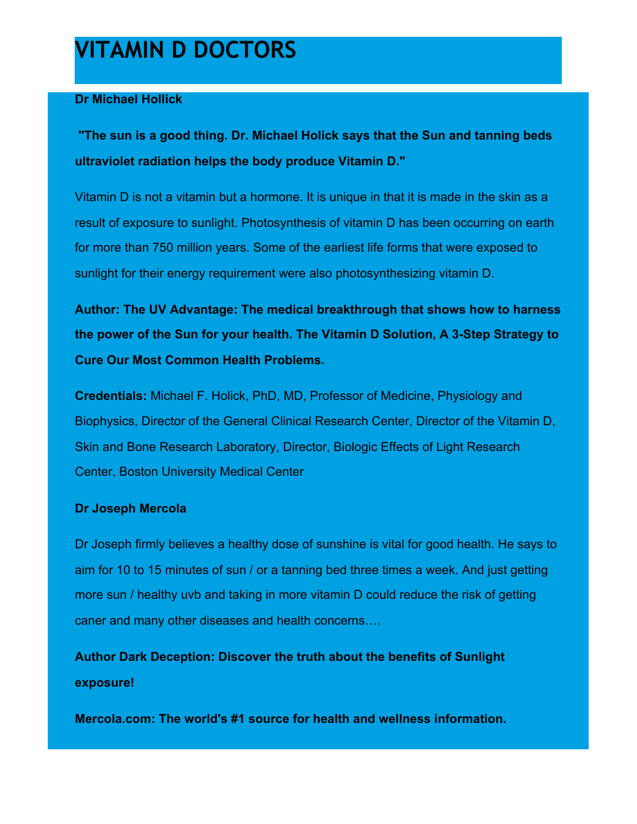# **VITAMIN D DOCTORS**

# **Dr Michael Hollick**

**"The sun is a good thing. Dr. Michael Holick says that the Sun and tanning beds ultraviolet radiation helps the body produce Vitamin D."**

Vitamin D is not a vitamin but a hormone. It is unique in that it is made in the skin as a result of exposure to sunlight. Photosynthesis of vitamin D has been occurring on earth for more than 750 million years. Some of the earliest life forms that were exposed to sunlight for their energy requirement were also photosynthesizing vitamin D.

**Author: The UV Advantage: The medical breakthrough that shows how to harness the power of the Sun for your health. The Vitamin D Solution, A 3-Step Strategy to Cure Our Most Common Health Problems.**

**Credentials:** Michael F. Holick, PhD, MD, Professor of Medicine, Physiology and Biophysics, Director of the General Clinical Research Center, Director of the Vitamin D, Skin and Bone Research Laboratory, Director, Biologic Effects of Light Research Center, Boston University Medical Center

## **Dr Joseph Mercola**

Dr Joseph firmly believes a healthy dose of sunshine is vital for good health. He says to aim for 10 to 15 minutes of sun / or a [tanning bed](http://www.esbtans.com/all-beds/#tanning) three times a week. And just getting more sun / healthy uvb and taking in more vitamin D could reduce the risk of getting caner and many other diseases and health concerns….

**Author Dark Deception: Discover the truth about the benefits of Sunlight exposure!**

**Mercola.com: The world's #1 source for health and wellness information.**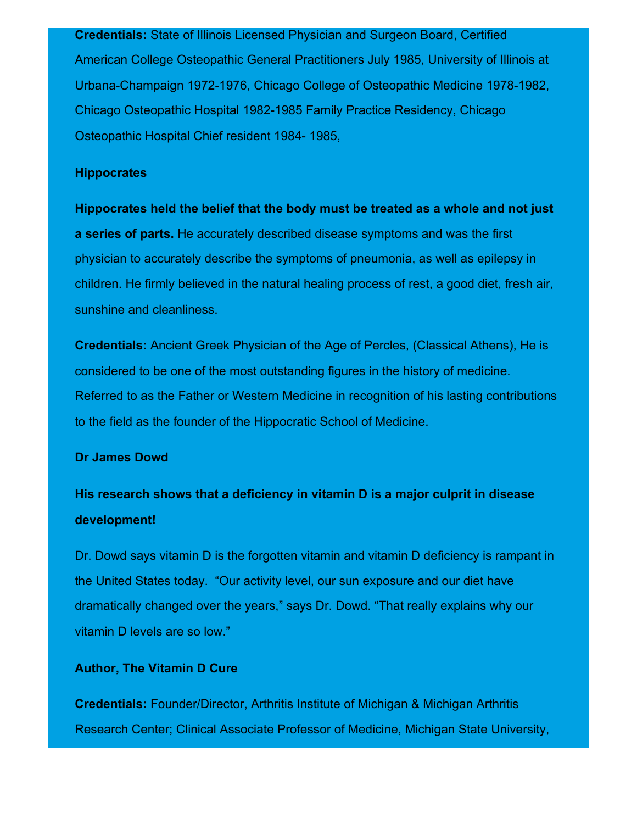**Credentials:** State of Illinois Licensed Physician and Surgeon Board, Certified American College Osteopathic General Practitioners July 1985, University of Illinois at Urbana-Champaign 1972-1976, Chicago College of Osteopathic Medicine 1978-1982, Chicago Osteopathic Hospital 1982-1985 Family Practice Residency, Chicago Osteopathic Hospital Chief resident 1984- 1985,

#### **Hippocrates**

**Hippocrates held the belief that the body must be treated as a whole and not just a series of parts.** He accurately described disease symptoms and was the first physician to accurately describe the symptoms of pneumonia, as well as epilepsy in children. He firmly believed in the natural healing process of rest, a good diet, fresh air, sunshine and cleanliness.

**Credentials:** Ancient Greek Physician of the Age of Percles, (Classical Athens), He is considered to be one of the most outstanding figures in the history of medicine. Referred to as the Father or Western Medicine in recognition of his lasting contributions to the field as the founder of the Hippocratic School of Medicine.

#### **Dr James Dowd**

# **His research shows that a deficiency in vitamin D is a major culprit in disease development!**

Dr. Dowd says vitamin D is the forgotten vitamin and vitamin D deficiency is rampant in the United States today. "Our activity level, our sun exposure and our diet have dramatically changed over the years," says Dr. Dowd. "That really explains why our vitamin D levels are so low."

#### **Author, The Vitamin D Cure**

**Credentials:** Founder/Director, Arthritis Institute of Michigan & Michigan Arthritis Research Center; Clinical Associate Professor of Medicine, Michigan State University,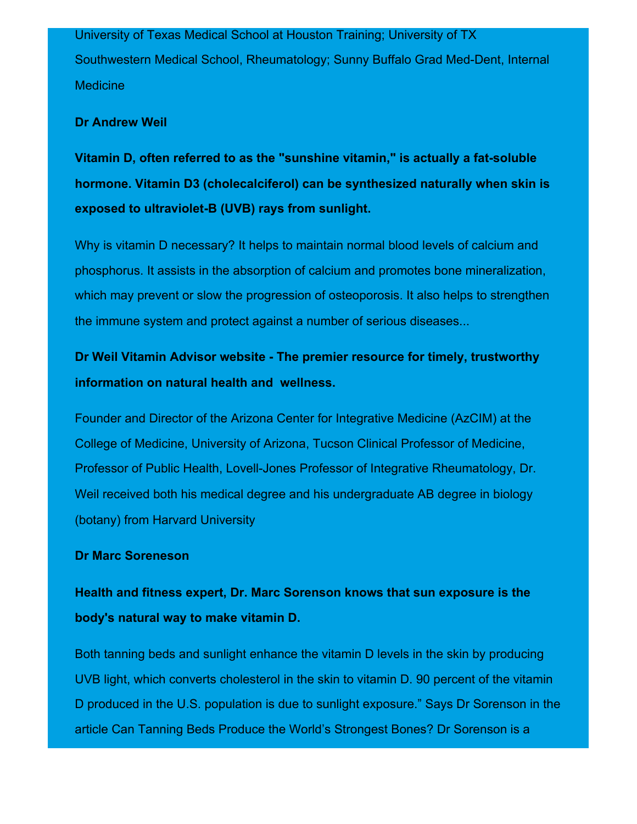University of Texas Medical School at Houston Training; University of TX Southwestern Medical School, Rheumatology; Sunny Buffalo Grad Med-Dent, Internal **Medicine** 

### **Dr Andrew Weil**

**Vitamin D, often referred to as the "sunshine vitamin," is actually a fat-soluble hormone. Vitamin D3 (cholecalciferol) can be synthesized naturally when skin is exposed to ultraviolet-B (UVB) rays from sunlight.**

Why is vitamin D necessary? It helps to maintain normal blood levels of calcium and phosphorus. It assists in the absorption of calcium and promotes bone mineralization, which may prevent or slow the progression of osteoporosis. It also helps to strengthen the immune system and protect against a number of serious diseases...

# **Dr Weil Vitamin Advisor website - The premier resource for timely, trustworthy information on natural health and wellness.**

Founder and Director of the Arizona Center for Integrative Medicine (AzCIM) at the College of Medicine, University of Arizona, Tucson Clinical Professor of Medicine, Professor of Public Health, Lovell-Jones Professor of Integrative Rheumatology, Dr. Weil received both his medical degree and his undergraduate AB degree in biology (botany) from Harvard University

### **Dr Marc Soreneson**

# **Health and fitness expert, Dr. Marc Sorenson knows that sun exposure is the body's natural way to make vitamin D.**

Both tanning beds and sunlight enhance the vitamin D levels in the skin by producing UVB light, which converts cholesterol in the skin to vitamin D. 90 percent of the vitamin D produced in the U.S. population is due to sunlight exposure." Says Dr Sorenson in the article Can Tanning Beds Produce the World's Strongest Bones? Dr Sorenson is a